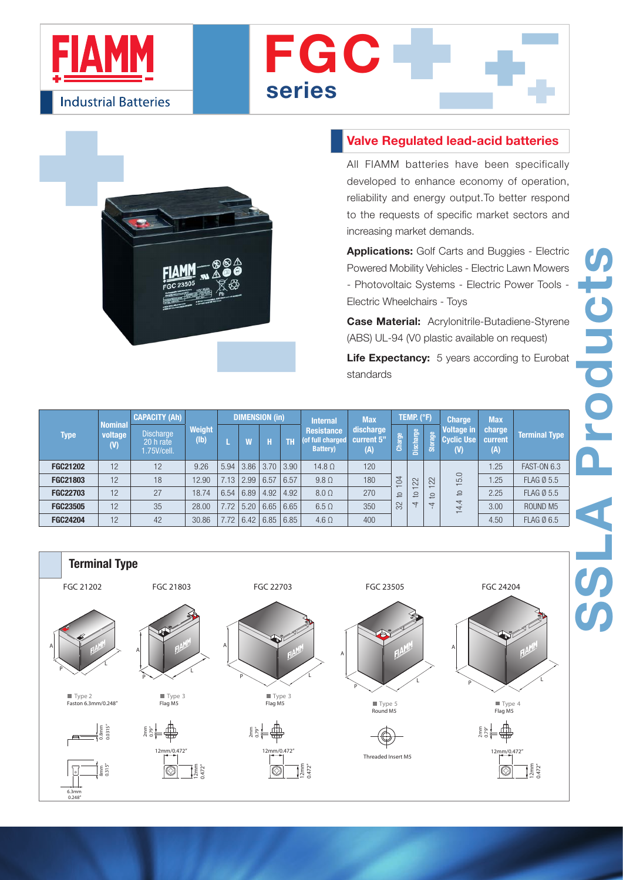





## Valve Regulated lead-acid batteries

All FIAMM batteries have been specifically developed to enhance economy of operation, reliability and energy output.To better respond to the requests of specific market sectors and increasing market demands.

Applications: Golf Carts and Buggies - Electric Powered Mobility Vehicles - Electric Lawn Mowers - Photovoltaic Systems - Electric Power Tools - Electric Wheelchairs - Toys

Case Material: Acrylonitrile-Butadiene-Styrene (ABS) UL-94 (V0 plastic available on request)

Life Expectancy: 5 years according to Eurobat standards

| Type            | <b>Nominal</b><br>voltage<br>(V) | <b>CAPACITY (Ah)</b>                         |                                     | <b>DIMENSION (in)</b> |      |                 |      | <b>Internal</b>                                            | <b>Max</b>                     | TEMP. (°F)     |                      |                     | <b>Charge</b>                                            | <b>Max</b>               |                      |
|-----------------|----------------------------------|----------------------------------------------|-------------------------------------|-----------------------|------|-----------------|------|------------------------------------------------------------|--------------------------------|----------------|----------------------|---------------------|----------------------------------------------------------|--------------------------|----------------------|
|                 |                                  | <b>Discharge</b><br>20 h rate<br>1.75V/cell. | Weight<br>$(\mathbf{I} \mathbf{b})$ |                       |      |                 | TΒ   | <b>Resistance</b><br>(of full charged)<br><b>Battery</b> ) | discharge<br>current 5"<br>(A) | Charge         | Discharge            | <b>Storage</b>      | Voltage in<br>Cyclic Use<br>(V)                          | charge<br>current<br>(A) | <b>Terminal Type</b> |
| <b>FGC21202</b> | 12                               | 12                                           | 9.26                                | 5.94                  |      | $3.86$   $3.70$ | 3.90 | $14.8\Omega$                                               | 120                            |                |                      | 22<br>$\Omega$<br>4 | 5.0<br>$\overline{ }$<br>$\Omega$<br>$\overline{4}$<br>4 | 1.25                     | <b>FAST-ON 6.3</b>   |
| <b>FGC21803</b> | 12                               | 18                                           | 12.90                               | 7.13                  | 2.99 | 6.57            | 6.57 | $9.8 \Omega$                                               | 180                            | $\overline{5}$ | 22<br>$\overline{a}$ |                     |                                                          | 1.25                     | <b>FLAG Ø 5.5</b>    |
| <b>FGC22703</b> | 12                               | 27                                           | 18.74                               | 6.54                  | 6.89 | 4.92            | 4.92 | $8.0 \Omega$                                               | 270                            | 요              |                      |                     |                                                          | 2.25                     | <b>FLAG Ø 5.5</b>    |
| <b>FGC23505</b> | 12                               | 35                                           | 28.00                               | 7.72                  | 5.20 | 6.65            | 6.65 | $6.5 \Omega$                                               | 350                            | 32             | $\overline{4}$       |                     |                                                          | 3.00                     | ROUND <sub>M5</sub>  |
| <b>FGC24204</b> | 12                               | 42                                           | 30.86                               | 7.72                  | 6.42 | 6.85            | 6.85 | $4.6 \Omega$                                               | 400                            |                |                      |                     |                                                          | 4.50                     | <b>FLAG Ø 6.5</b>    |